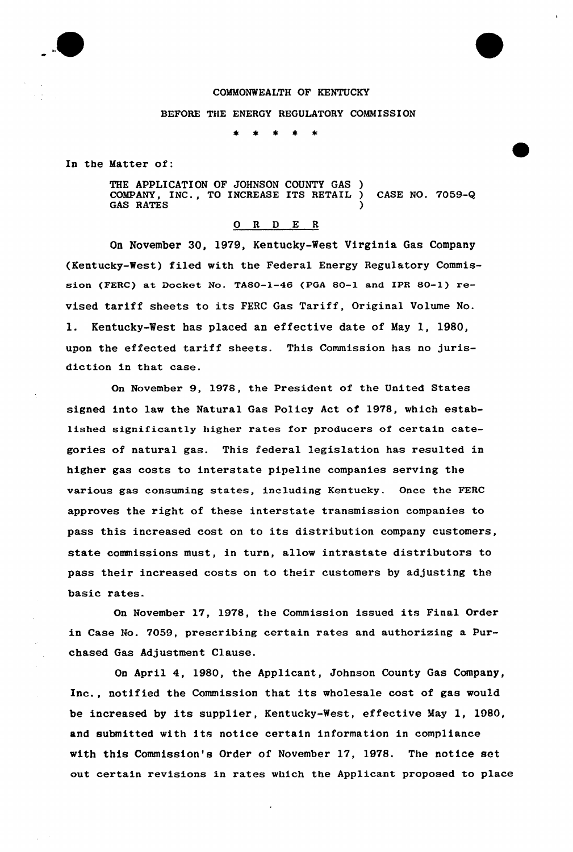

# COMMONWEALTH OF KENTUCKY

#### BEFORE THE ENERGY REGULATORY COMMISSION

 $\star$   $\star$  $\pm$   $\pm$ 

In the Hatter of:

THE APPLICATION OF JOHNSON COUNTY GAS ) COMPANY, INC., TO INCREASE ITS RETAIL ) CASE NO. 7059-Q GAS RATES

### 0 R <sup>D</sup> E <sup>R</sup>

On November 30, 1979, Kentucky-West Virginia Gas Company (Kentucky-West) filed with the Federal Energy Regulatory Commission (FERC) at Docket No. TA80-1-46 (PGA 80-1 and IPR 80-1) revised tariff sheets to its FERC Gas Tariff, Original Volume No. 1. Kentucky-West has placed an effective date of May 1, 1980, upon the effected tariff sheets. This Commission has no jurisdiction in that case.

On November 9, 1978, the President of the United States signed into law the Natural Gas Policy Act of 1978, which established significantly higher rates for producers of certain categories of natural gas. This federal legislation has resulted in higher gas costs to interstate pipeline companies serving the various gas consuming states, including Kentucky. Once the FERC approves the right of these interstate transmission companies to pass this increased cost on to its distribution company customers, state commissions must, in turn, allow intxastate distributors to pass their increased costs on to their customers by adjusting the basic rates.

On Novembex 17, 1978, the Commission issued its Final Order in Case No. 7059, prescribing certain rates and authorizing a Purchased Gas Adjustment Clause.

On April 4, 1980, the Applicant, Johnson County Gas Company, Inc., notified the Commission that its wholesale cost of gas would be increased by its supplier, Kentucky-West, effective May 1, 1080, and submitted with its notice certain information in compliance with this Commission's Order of November 17, 1978, The notice set out certain revisions in rates which the Applicant proposed to place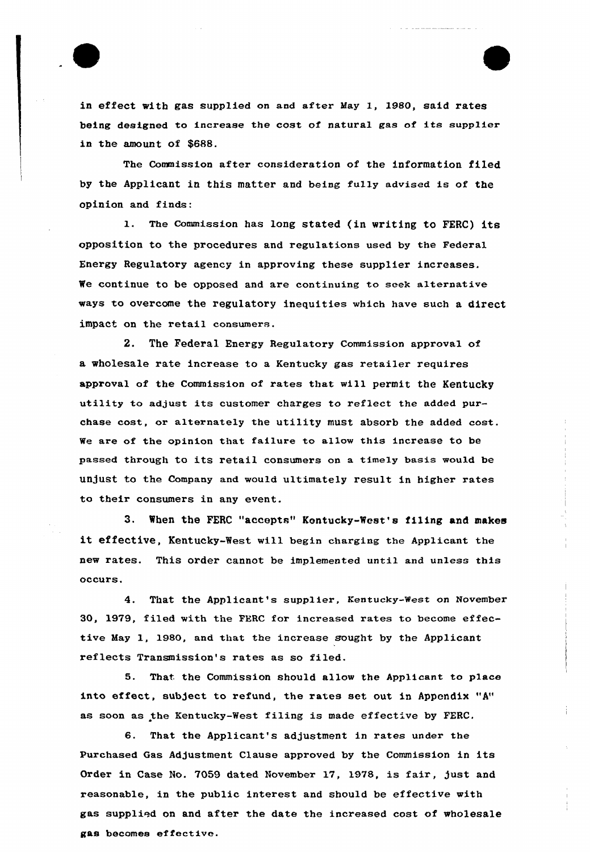

in effect with gas supplied on and aftex May 1, 1980, said rates being designed to increase the cost of natural gas of its supplier in the amount of \$688.

The Commission after consideration of the information filed by the Applicant in this matter and being fully advised is of the opinion and finds:

1. The commission has long stated (in writing to FERC) its opposition to the procedures and regulations used by the Federal Energy Regulatory agency in approving these supplier increases. We continue to be opposed and are continuing to seek alternative ways to overcome the regulatory inequities which have such a direct impact on the retail consumers.

2. The Federal Energy Regulatory Commission approval of a wholesale rate increase to a Kentucky gas retailer requires approval of the Commission of xates that will permit the Kentucky utility to adjust its customer charges to reflect the added purchase cost, or alternately the utility must absorb the added cost. We are of the opinion that failure to allow this increase to be passed through to its retail consumers on a timely basis would be unjust to the Company and would ultimately result in higher rates to their consumers in any event.

3. When the FERC "accepts" Kentucky-West's filing and makes it effective, Kentucky-West will begin charging the Applicant the new rates. This order cannot be implemented unti1 and unless this occurs.

4. That the Applicant's supplier, Kentucky-west on November 30, 1979, filed with the FERC for increased rates to become effective May 1, 1980, and that the increase sought by the Applicant. reflects Transmission's rates as so filed.

5. That the Commission should allow the Applicant to place into affect, subject to refund, the rates set out in Appendix "A" as soon as the Kentucky-West filing is made effective by FERC.

6. That the Applicant's adjustment in rates under the Purchased Gas Adjustment Clause approved by the Commission in its Order in Case No. 7059 dated November 17, 1978, is fair, just and reasonable, in the public interest and should be effective with gas supplied on and after the date the increased cost of wholesale gas becomes effective.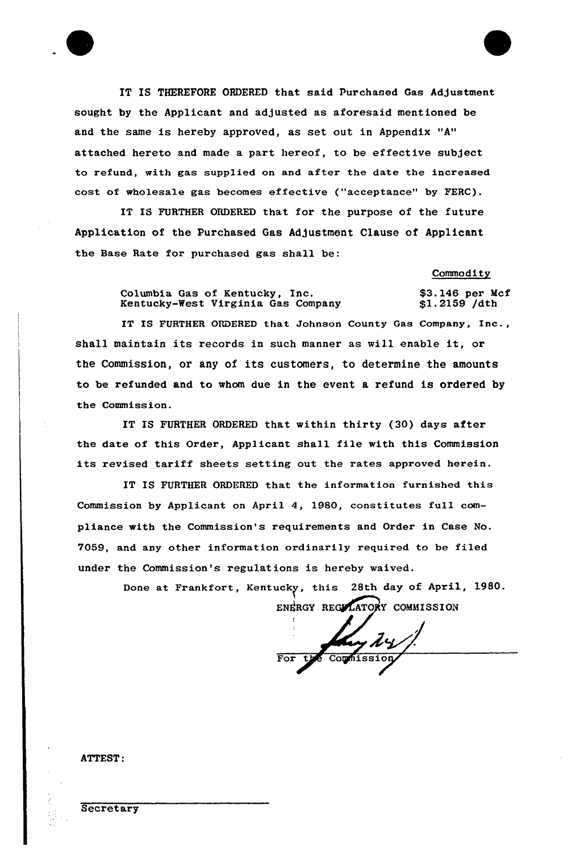IT IS THEREFORE ORDERED that said purchased Gas Adjustment sought by the Applicant and adjusted as aforesaid mentioned be and the same is hereby approved, as set out in Appendix "A" attached hereto and made a part hereof, to be effective subject to refund, with gas supplied on and after the date the increased cost of wholesale gas becomes effective ("acceptance" by FERC).

IT IS FURTHER ORDERED that for the purpose of the future Application of the Purchased Gas Adjustment Clause of Applicant the Base Rate for purchased gas shall be:

Commodity

Columbia Gas of Kentucky, Inc. Kentucky-West Virginia Gas Company \$3.146 per Mcf \$1.2159 /dth

IT IS FURTHER ORDERED that Johnson County Gas Company, Inc., shall maintain its records in such manner as will enable it, or the Commission, or any of its customers, to determine the amounts to be refunded and to whom due in the event a refund is ordered by the Commission.

IT IS FURTHER ORDERED that within thirty {30) days after the date of this Order, Applicant shall file with this Commission its revised tariff sheets setting out the rates approved herein.

IT IS FURTHER ORDERED that the information furnished this Commission by Applicant on April 4, 1980, constitutes full compliance with the Commission's requirements and Order in Case No. 7059, and any other information ordinarily required to be filed under the Commission's regulations is hereby waived.

> Done at Frankfort, Kentucky, this 28th day of April, 1980. ENERGY REGYLATORY COMMISSION

I For the Counission

ATTEST:

F